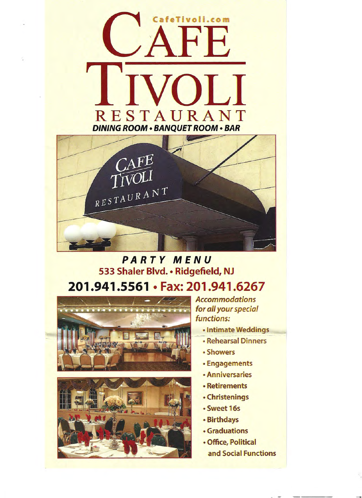

# **PARTY MENU** 533 Shaler Blvd. • Ridgefield, NJ 201.941.5561 · Fax: 201.941.6267





**Accommodations** for all your special functions:

- Intimate Weddings
- **Rehearsal Dinners**
- Showers
- Engagements
- Anniversaries
- Retirements
- Christenings
- · Sweet 16s
- · Birthdays
- **Graduations**
- Office, Political and Social Functions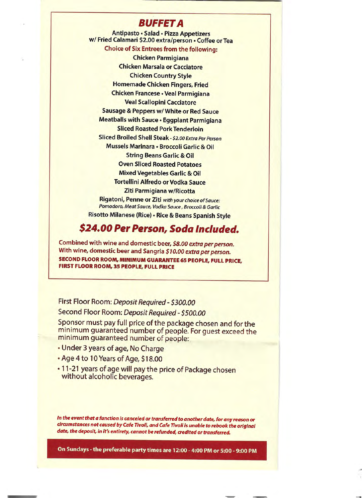#### **BUFFET A**

Antipasto · Salad · Pizza Appetizers w/Fried Calamari \$2.00 extra/person . Coffee or Tea **Choice of Six Entrees from the following: Chicken Parmigiana Chicken Marsala or Cacciatore Chicken Country Style Homemade Chicken Fingers, Fried** Chicken Francese . Veal Parmigiana **Veal Scallopini Cacciatore Sausage & Peppers w/ White or Red Sauce** Meatballs with Sauce . Eggplant Parmigiana **Sliced Roasted Pork Tenderloin** Sliced Broiled Shell Steak - \$2.00 Extra Per Person Mussels Marinara · Broccoli Garlic & Oil **String Beans Garlic & Oil Oven Sliced Roasted Potatoes Mixed Vegetables Garlic & Oil Tortellini Alfredo or Vodka Sauce** Ziti Parmigiana w/Ricotta Rigatoni, Penne or Ziti with your choice of Sauce: Pomodoro, Meat Sauce, Vodka Sauce, Broccoli & Garlic Risotto Milanese (Rice) · Rice & Beans Spanish Style

## \$24.00 Per Person, Soda Included.

Combined with wine and domestic beer, \$8.00 extra per person. With wine, domestic beer and Sangria \$10.00 extra per person. **SECOND FLOOR ROOM, MINIMUM GUARANTEE 65 PEOPLE, FULL PRICE,** FIRST FLOOR ROOM, 35 PEOPLE, FULL PRICE

First Floor Room: Deposit Required - \$300.00 Second Floor Room: Deposit Required - \$500.00

Sponsor must pay full price of the package chosen and for the minimum guaranteed number of people. For guest exceed the minimum guaranteed number of people:

- Under 3 years of age, No Charge
- . Age 4 to 10 Years of Age, \$18.00
- . 11-21 years of age will pay the price of Package chosen without alcoholic beverages.

In the event that a function is canceled or transferred to another date, for any reason or circumstances not caused by Cafe Tivoli, and Cafe Tivoli is unable to rebook the original date, the deposit, in it's entirety, cannot be refunded, credited or transferred.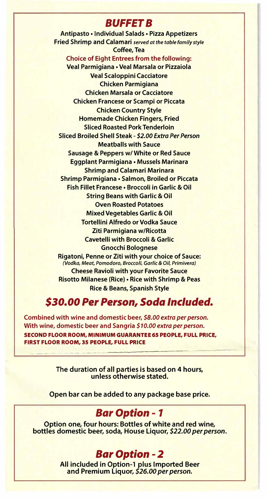### *BUFFETS*

**Antipasto• Individual Salads• Pizza Appetizers Fried Shrimp and Calamari** *served at the table family style*  **Coffee, Tea Choice of Eight Entrees from the following: Veal Parmigiana • Veal Marsala or Pizzaiola Veal Scaloppini Cacciatore Chicken Parmigiana Chicken Marsala or Cacciatore Chicken Francese or Scampi or Piccata Chicken Country Style Homemade Chicken Fingers, Fried Sliced Roasted Pork Tenderloin Sliced Broiled Shell Steak -** *\$2.00 Extra Per Person*  **Meatballs with Sauce Sausage & Peppers w/ White or Red Sauce Eggplant Parmigiana • Mussels Marinara Shrimp and Calamari Marinara Shrimp Parmigiana• Salmon, Broiled or Piccata Fish Fillet Francese• Broccoli in Garlic & Oil String Beans with Garlic & Oil Oven Roasted Potatoes Mixed Vegetables Garlic & Oil Tortellini Alfredo or Vodka Sauce Ziti Parmigiana w/Ricotta Cavetelli with Broccoli & Garlic Gnocchi Bolognese Rigatoni, Penne or Ziti with your choice of Sauce:**  *(Vodka, Meat, Pomodoro, Broccoli, Garlic* **&** *Oil, Primivera)*  **Cheese Ravioli with your Favorite Sauce Risotto Milanese (Rice)• Rice with Shrimp & Peas Rice & Beans, Spanish Style** 

#### *\$30.00 Per Person, Soda Included.*

**Combined with wine and domestic beer,** *\$8.00 extra per person.*  **With wine, domestic beer and Sangria** *\$10.00 extra per person.*  **SECOND FLOOR ROOM, MINIMUM GUARANTEE 65 PEOPLE, FULL PRICE, FIRST FLOOR ROOM, 35 PEOPLE, FULL PRICE** 

> **The duration of all parties is based on 4 hours, unless otherwise stated.**

**Open bar can be added to any package base price.** 

#### *Bar Option* **-** *1*

**Option one, four hours: Bottles of white and red wine, bottles domestic beer, soda, House Liquor,** *\$22.00 per person.* 

#### *Bar Option* - *2*

**All included in Option-1 plus Imported Beer and Premium Liquor,** *\$26.00 per person.*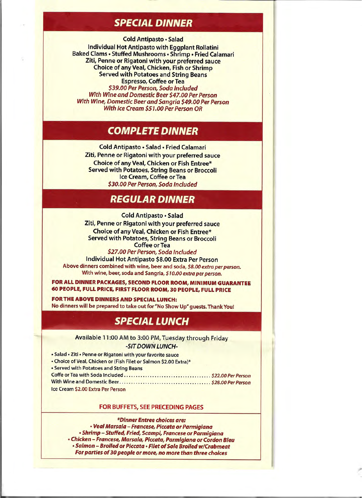## **SPECIAL DINNER**

**Cold Antipasto · Salad** 

**Individual Hot Antipasto with Eggplant Rollatini** Baked Clams . Stuffed Mushrooms . Shrimp . Fried Calamari Ziti, Penne or Rigatoni with your preferred sauce **Choice of any Veal, Chicken, Fish or Shrimp Served with Potatoes and String Beans Espresso, Coffee or Tea** \$39.00 Per Person, Soda Included

With Wine and Domestic Beer \$47.00 Per Person With Wine, Domestic Beer and Sanaria \$49.00 Per Person **With Ice Cream \$51.00 Per Person OR** 

## **COMPLETE DINNER**

Cold Antipasto · Salad · Fried Calamari Ziti, Penne or Rigatoni with your preferred sauce **Choice of any Veal, Chicken or Fish Entree\* Served with Potatoes, String Beans or Broccoli** Ice Cream, Coffee or Tea \$30.00 Per Person, Soda Included

## REGULAR DINNER

Cold Antipasto · Salad Ziti, Penne or Rigatoni with your preferred sauce Choice of any Veal, Chicken or Fish Entree\* **Served with Potatoes, String Beans or Broccoli Coffee or Tea** 

\$27.00 Per Person, Soda Included **Individual Hot Antipasto \$8.00 Extra Per Person** Above dinners combined with wine, beer and soda, \$8.00 extra per person. With wine, beer, soda and Sangria, \$10.00 extra per person.

FOR ALL DINNER PACKAGES, SECOND FLOOR ROOM, MINIMUM GUARANTEE 60 PEOPLE, FULL PRICE, FIRST FLOOR ROOM, 30 PEOPLE, FULL PRICE

FOR THE ABOVE DINNERS AND SPECIAL LUNCH: No dinners will be prepared to take out for "No Show Up" guests. Thank You!

## *SPECIAL LUNCH*

Available 11:00 AM to 3:00 PM, Tuesday through Friday -SIT DOWN LUNCH-

- · Salad · Ziti · Penne or Rigatoni with your favorite sauce
- Choice of Veal, Chicken or (Fish Filet or Salmon \$2.00 Extra)\*

| • Served with Potatoes and String Beans |  |
|-----------------------------------------|--|
|                                         |  |
|                                         |  |
| Ice Cream \$2.00 Extra Per Person       |  |

#### FOR BUFFETS, SEE PRECEDING PAGES

\*Dinner Entree choices are: · Veal Marsala - Francese, Piccata or Parmigiana · Shrimp - Stuffed, Fried, Scampi, Francese or Parmigiana · Chicken - Francese, Marsala, Piccata, Parmigiana or Cordon Bleu . Salmon - Broiled or Piccata . Filet of Sole Broiled w/Crabmeat For parties of 30 people or more, no more than three choices